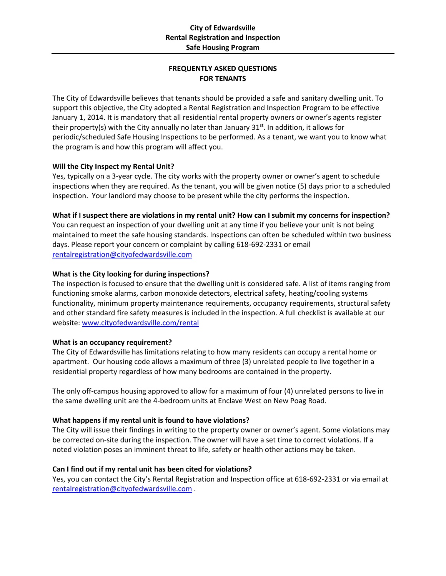# **FREQUENTLY ASKED QUESTIONS FOR TENANTS**

The City of Edwardsville believes that tenants should be provided a safe and sanitary dwelling unit. To support this objective, the City adopted a Rental Registration and Inspection Program to be effective January 1, 2014. It is mandatory that all residential rental property owners or owner's agents register their property(s) with the City annually no later than January 31<sup>st</sup>. In addition, it allows for periodic/scheduled Safe Housing Inspections to be performed. As a tenant, we want you to know what the program is and how this program will affect you.

## **Will the City Inspect my Rental Unit?**

Yes, typically on a 3-year cycle. The city works with the property owner or owner's agent to schedule inspections when they are required. As the tenant, you will be given notice (5) days prior to a scheduled inspection. Your landlord may choose to be present while the city performs the inspection.

#### **What if I suspect there are violations in my rental unit? How can I submit my concerns for inspection?**

You can request an inspection of your dwelling unit at any time if you believe your unit is not being maintained to meet the safe housing standards. Inspections can often be scheduled within two business days. Please report your concern or complaint by calling 618-692-2331 or email [rentalregistration@cityofedwardsville.com](mailto:rentalregistration@cityofedwardsville.com)

## **What is the City looking for during inspections?**

The inspection is focused to ensure that the dwelling unit is considered safe. A list of items ranging from functioning smoke alarms, carbon monoxide detectors, electrical safety, heating/cooling systems functionality, minimum property maintenance requirements, occupancy requirements, structural safety and other standard fire safety measures is included in the inspection. A full checklist is available at our website[: www.cityofedwardsville.com/](http://www.cityofedwardsville.com/)rental

#### **What is an occupancy requirement?**

The City of Edwardsville has limitations relating to how many residents can occupy a rental home or apartment. Our housing code allows a maximum of three (3) unrelated people to live together in a residential property regardless of how many bedrooms are contained in the property.

The only off-campus housing approved to allow for a maximum of four (4) unrelated persons to live in the same dwelling unit are the 4-bedroom units at Enclave West on New Poag Road.

#### **What happens if my rental unit is found to have violations?**

The City will issue their findings in writing to the property owner or owner's agent. Some violations may be corrected on-site during the inspection. The owner will have a set time to correct violations. If a noted violation poses an imminent threat to life, safety or health other actions may be taken.

#### **Can I find out if my rental unit has been cited for violations?**

Yes, you can contact the City's Rental Registration and Inspection office at 618-692-2331 or via email at [rentalregistration@cityofedwardsville.com](mailto:rentalregistration@cityofedwardsville.com) .